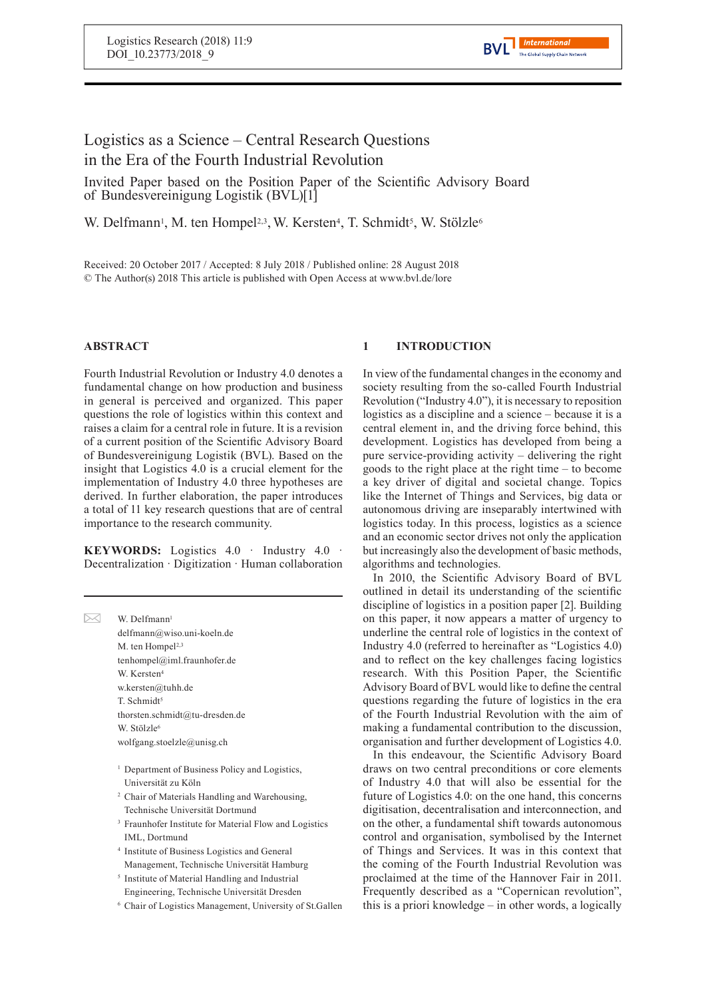# Logistics as a Science – Central Research Questions in the Era of the Fourth Industrial Revolution

Invited Paper based on the Position Paper of the Scientific Advisory Board of Bundesvereinigung Logistik (BVL)[1]

W. Delfmann<sup>1</sup>, M. ten Hompel<sup>2,3</sup>, W. Kersten<sup>4</sup>, T. Schmidt<sup>5</sup>, W. Stölzle<sup>6</sup>

Received: 20 October 2017 / Accepted: 8 July 2018 / Published online: 28 August 2018 © The Author(s) 2018 This article is published with Open Access at www.bvl.de/lore

# **ABSTRACT**

Fourth Industrial Revolution or Industry 4.0 denotes a fundamental change on how production and business in general is perceived and organized. This paper questions the role of logistics within this context and raises a claim for a central role in future. It is a revision of a current position of the Scientific Advisory Board of Bundesvereinigung Logistik (BVL). Based on the insight that Logistics 4.0 is a crucial element for the implementation of Industry 4.0 three hypotheses are derived. In further elaboration, the paper introduces a total of 11 key research questions that are of central importance to the research community.

**KEYWORDS:** Logistics 4.0 · Industry 4.0 · Decentralization · Digitization · Human collaboration

| W Delfmann <sup>1</sup>                                   |
|-----------------------------------------------------------|
| delfmann@wiso.uni-koeln.de                                |
| M. ten Hompel <sup>2,3</sup>                              |
| tenhompel@iml.fraunhofer.de                               |
| W. Kersten <sup>4</sup>                                   |
| w.kersten@tuhh.de                                         |
| T. Schmidt <sup>5</sup>                                   |
| thorsten.schmidt@tu-dresden.de                            |
| W. Stölzle <sup>6</sup>                                   |
| wolfgang.stoelzle@unisg.ch                                |
|                                                           |
| <sup>1</sup> Department of Business Policy and Logistics, |
| Universität zu Köln                                       |
|                                                           |

- <sup>2</sup> Chair of Materials Handling and Warehousing, Technische Universität Dortmund
- <sup>3</sup> Fraunhofer Institute for Material Flow and Logistics IML, Dortmund
- 4 Institute of Business Logistics and General Management, Technische Universität Hamburg
- 5 Institute of Material Handling and Industrial Engineering, Technische Universität Dresden
- <sup>6</sup> Chair of Logistics Management, University of St.Gallen

# **1 INTRODUCTION**

In view of the fundamental changes in the economy and society resulting from the so-called Fourth Industrial Revolution ("Industry 4.0"), it is necessary to reposition logistics as a discipline and a science – because it is a central element in, and the driving force behind, this development. Logistics has developed from being a pure service-providing activity – delivering the right goods to the right place at the right time – to become a key driver of digital and societal change. Topics like the Internet of Things and Services, big data or autonomous driving are inseparably intertwined with logistics today. In this process, logistics as a science and an economic sector drives not only the application but increasingly also the development of basic methods, algorithms and technologies.

In 2010, the Scientific Advisory Board of BVL outlined in detail its understanding of the scientific discipline of logistics in a position paper [2]. Building on this paper, it now appears a matter of urgency to underline the central role of logistics in the context of Industry 4.0 (referred to hereinafter as "Logistics 4.0) and to reflect on the key challenges facing logistics research. With this Position Paper, the Scientific Advisory Board of BVL would like to define the central questions regarding the future of logistics in the era of the Fourth Industrial Revolution with the aim of making a fundamental contribution to the discussion, organisation and further development of Logistics 4.0.

In this endeavour, the Scientific Advisory Board draws on two central preconditions or core elements of Industry 4.0 that will also be essential for the future of Logistics 4.0: on the one hand, this concerns digitisation, decentralisation and interconnection, and on the other, a fundamental shift towards autonomous control and organisation, symbolised by the Internet of Things and Services. It was in this context that the coming of the Fourth Industrial Revolution was proclaimed at the time of the Hannover Fair in 2011. Frequently described as a "Copernican revolution", this is a priori knowledge – in other words, a logically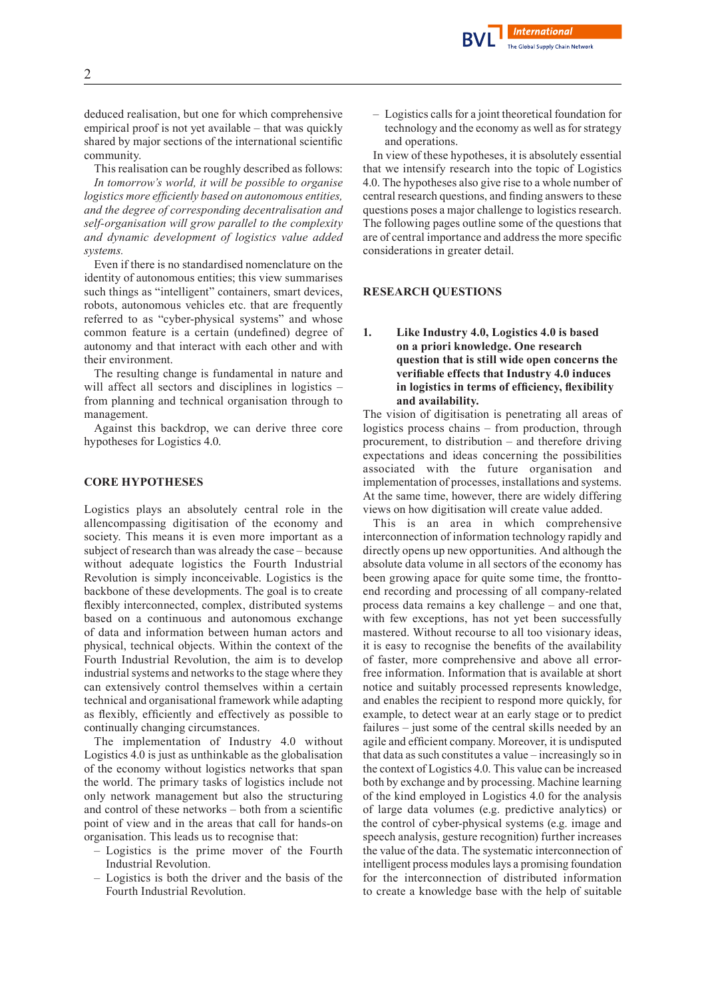deduced realisation, but one for which comprehensive empirical proof is not yet available – that was quickly shared by major sections of the international scientific community.

This realisation can be roughly described as follows: *In tomorrow's world, it will be possible to organise logistics more efficiently based on autonomous entities, and the degree of corresponding decentralisation and self-organisation will grow parallel to the complexity and dynamic development of logistics value added systems.*

Even if there is no standardised nomenclature on the identity of autonomous entities; this view summarises such things as "intelligent" containers, smart devices, robots, autonomous vehicles etc. that are frequently referred to as "cyber-physical systems" and whose common feature is a certain (undefined) degree of autonomy and that interact with each other and with their environment.

The resulting change is fundamental in nature and will affect all sectors and disciplines in logistics – from planning and technical organisation through to management.

Against this backdrop, we can derive three core hypotheses for Logistics 4.0.

#### **CORE HYPOTHESES**

Logistics plays an absolutely central role in the allencompassing digitisation of the economy and society. This means it is even more important as a subject of research than was already the case – because without adequate logistics the Fourth Industrial Revolution is simply inconceivable. Logistics is the backbone of these developments. The goal is to create flexibly interconnected, complex, distributed systems based on a continuous and autonomous exchange of data and information between human actors and physical, technical objects. Within the context of the Fourth Industrial Revolution, the aim is to develop industrial systems and networks to the stage where they can extensively control themselves within a certain technical and organisational framework while adapting as flexibly, efficiently and effectively as possible to continually changing circumstances.

The implementation of Industry 4.0 without Logistics 4.0 is just as unthinkable as the globalisation of the economy without logistics networks that span the world. The primary tasks of logistics include not only network management but also the structuring and control of these networks – both from a scientific point of view and in the areas that call for hands-on organisation. This leads us to recognise that:

- Logistics is the prime mover of the Fourth Industrial Revolution.
- Logistics is both the driver and the basis of the Fourth Industrial Revolution.

– Logistics calls for a joint theoretical foundation for technology and the economy as well as for strategy and operations.

In view of these hypotheses, it is absolutely essential that we intensify research into the topic of Logistics 4.0. The hypotheses also give rise to a whole number of central research questions, and finding answers to these questions poses a major challenge to logistics research. The following pages outline some of the questions that are of central importance and address the more specific considerations in greater detail.

#### **RESEARCH QUESTIONS**

## **1. Like Industry 4.0, Logistics 4.0 is based on a priori knowledge. One research question that is still wide open concerns the verifiable effects that Industry 4.0 induces in logistics in terms of efficiency, flexibility and availability.**

The vision of digitisation is penetrating all areas of logistics process chains – from production, through procurement, to distribution – and therefore driving expectations and ideas concerning the possibilities associated with the future organisation and implementation of processes, installations and systems. At the same time, however, there are widely differing views on how digitisation will create value added.

This is an area in which comprehensive interconnection of information technology rapidly and directly opens up new opportunities. And although the absolute data volume in all sectors of the economy has been growing apace for quite some time, the fronttoend recording and processing of all company-related process data remains a key challenge – and one that, with few exceptions, has not yet been successfully mastered. Without recourse to all too visionary ideas, it is easy to recognise the benefits of the availability of faster, more comprehensive and above all errorfree information. Information that is available at short notice and suitably processed represents knowledge, and enables the recipient to respond more quickly, for example, to detect wear at an early stage or to predict failures – just some of the central skills needed by an agile and efficient company. Moreover, it is undisputed that data as such constitutes a value – increasingly so in the context of Logistics 4.0. This value can be increased both by exchange and by processing. Machine learning of the kind employed in Logistics 4.0 for the analysis of large data volumes (e.g. predictive analytics) or the control of cyber-physical systems (e.g. image and speech analysis, gesture recognition) further increases the value of the data. The systematic interconnection of intelligent process modules lays a promising foundation for the interconnection of distributed information to create a knowledge base with the help of suitable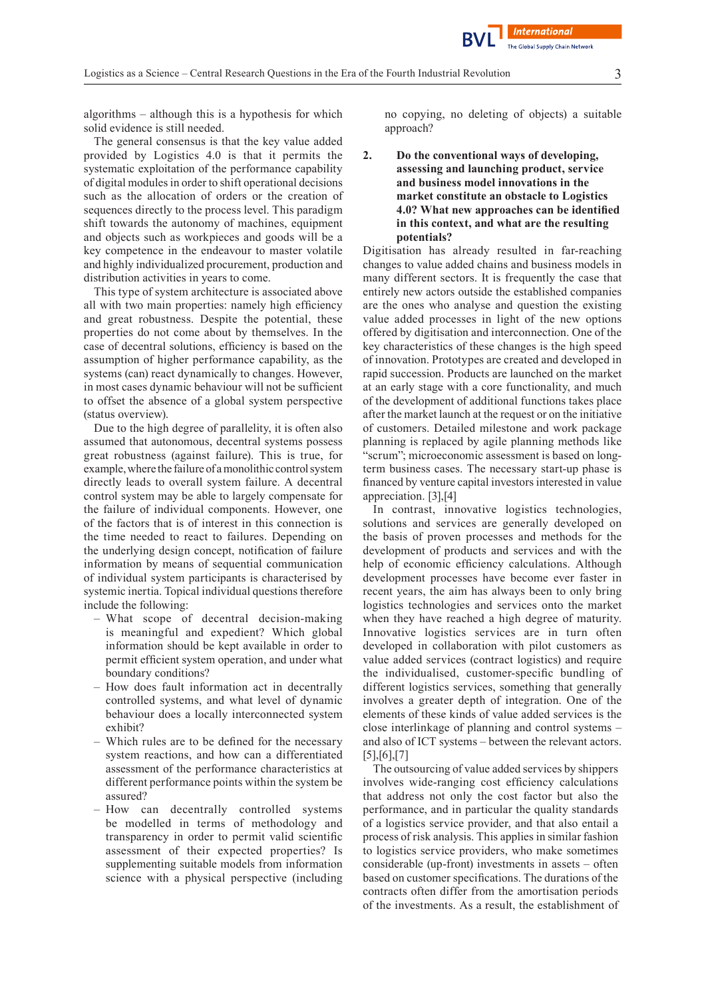algorithms – although this is a hypothesis for which solid evidence is still needed.

The general consensus is that the key value added provided by Logistics 4.0 is that it permits the systematic exploitation of the performance capability of digital modulesin order to shift operational decisions such as the allocation of orders or the creation of sequences directly to the process level. This paradigm shift towards the autonomy of machines, equipment and objects such as workpieces and goods will be a key competence in the endeavour to master volatile and highly individualized procurement, production and distribution activities in years to come.

This type of system architecture is associated above all with two main properties: namely high efficiency and great robustness. Despite the potential, these properties do not come about by themselves. In the case of decentral solutions, efficiency is based on the assumption of higher performance capability, as the systems (can) react dynamically to changes. However, in most cases dynamic behaviour will not be sufficient to offset the absence of a global system perspective (status overview).

Due to the high degree of parallelity, it is often also assumed that autonomous, decentral systems possess great robustness (against failure). This is true, for example, where the failure of a monolithic control system directly leads to overall system failure. A decentral control system may be able to largely compensate for the failure of individual components. However, one of the factors that is of interest in this connection is the time needed to react to failures. Depending on the underlying design concept, notification of failure information by means of sequential communication of individual system participants is characterised by systemic inertia. Topical individual questions therefore include the following:

- What scope of decentral decision-making is meaningful and expedient? Which global information should be kept available in order to permit efficient system operation, and under what boundary conditions?
- How does fault information act in decentrally controlled systems, and what level of dynamic behaviour does a locally interconnected system exhibit?
- Which rules are to be defined for the necessary system reactions, and how can a differentiated assessment of the performance characteristics at different performance points within the system be assured?
- How can decentrally controlled systems be modelled in terms of methodology and transparency in order to permit valid scientific assessment of their expected properties? Is supplementing suitable models from information science with a physical perspective (including

no copying, no deleting of objects) a suitable approach?

# **2. Do the conventional ways of developing, assessing and launching product, service and business model innovations in the market constitute an obstacle to Logistics 4.0? What new approaches can be identified in this context, and what are the resulting potentials?**

Digitisation has already resulted in far-reaching changes to value added chains and business models in many different sectors. It is frequently the case that entirely new actors outside the established companies are the ones who analyse and question the existing value added processes in light of the new options offered by digitisation and interconnection. One of the key characteristics of these changes is the high speed of innovation. Prototypes are created and developed in rapid succession. Products are launched on the market at an early stage with a core functionality, and much of the development of additional functions takes place after the market launch at the request or on the initiative of customers. Detailed milestone and work package planning is replaced by agile planning methods like "scrum"; microeconomic assessment is based on longterm business cases. The necessary start-up phase is financed by venture capital investors interested in value appreciation. [3],[4]

In contrast, innovative logistics technologies, solutions and services are generally developed on the basis of proven processes and methods for the development of products and services and with the help of economic efficiency calculations. Although development processes have become ever faster in recent years, the aim has always been to only bring logistics technologies and services onto the market when they have reached a high degree of maturity. Innovative logistics services are in turn often developed in collaboration with pilot customers as value added services (contract logistics) and require the individualised, customer-specific bundling of different logistics services, something that generally involves a greater depth of integration. One of the elements of these kinds of value added services is the close interlinkage of planning and control systems – and also of ICT systems – between the relevant actors. [5],[6],[7]

The outsourcing of value added services by shippers involves wide-ranging cost efficiency calculations that address not only the cost factor but also the performance, and in particular the quality standards of a logistics service provider, and that also entail a process of risk analysis. This applies in similar fashion to logistics service providers, who make sometimes considerable (up-front) investments in assets – often based on customer specifications. The durations of the contracts often differ from the amortisation periods of the investments. As a result, the establishment of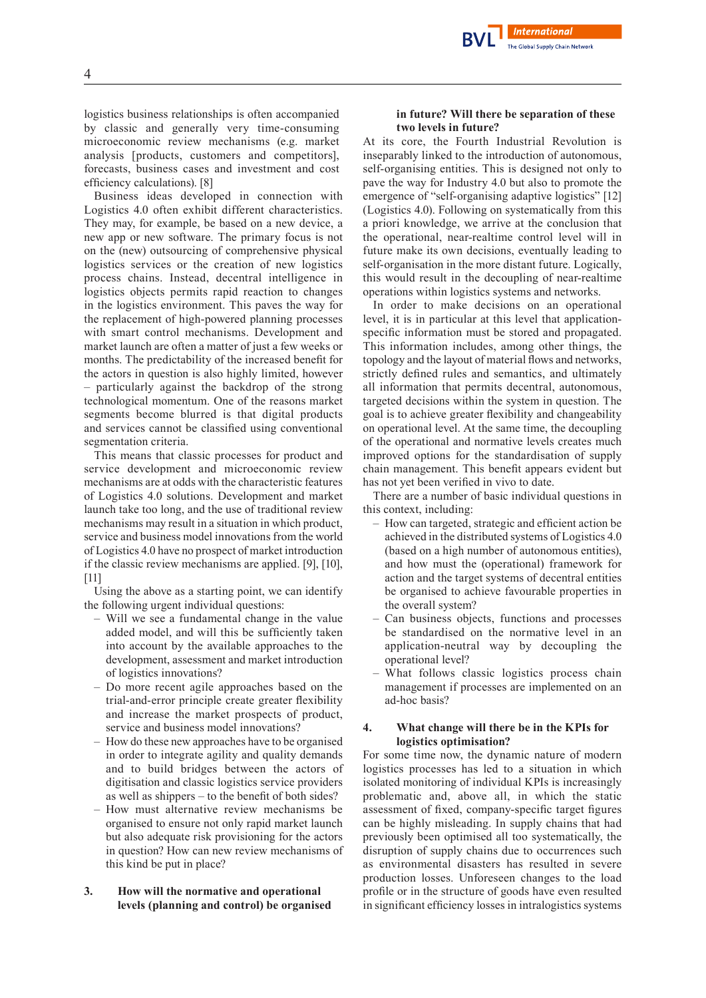logistics business relationships is often accompanied by classic and generally very time-consuming microeconomic review mechanisms (e.g. market analysis [products, customers and competitors], forecasts, business cases and investment and cost efficiency calculations). [8]

Business ideas developed in connection with Logistics 4.0 often exhibit different characteristics. They may, for example, be based on a new device, a new app or new software. The primary focus is not on the (new) outsourcing of comprehensive physical logistics services or the creation of new logistics process chains. Instead, decentral intelligence in logistics objects permits rapid reaction to changes in the logistics environment. This paves the way for the replacement of high-powered planning processes with smart control mechanisms. Development and market launch are often a matter of just a few weeks or months. The predictability of the increased benefit for the actors in question is also highly limited, however – particularly against the backdrop of the strong technological momentum. One of the reasons market segments become blurred is that digital products and services cannot be classified using conventional segmentation criteria.

This means that classic processes for product and service development and microeconomic review mechanisms are at odds with the characteristic features of Logistics 4.0 solutions. Development and market launch take too long, and the use of traditional review mechanisms may result in a situation in which product, service and business model innovations from the world of Logistics 4.0 have no prospect of market introduction if the classic review mechanisms are applied. [9], [10], [11]

Using the above as a starting point, we can identify the following urgent individual questions:

- Will we see a fundamental change in the value added model, and will this be sufficiently taken into account by the available approaches to the development, assessment and market introduction of logistics innovations?
- Do more recent agile approaches based on the trial-and-error principle create greater flexibility and increase the market prospects of product, service and business model innovations?
- How do these new approaches have to be organised in order to integrate agility and quality demands and to build bridges between the actors of digitisation and classic logistics service providers as well as shippers – to the benefit of both sides?
- How must alternative review mechanisms be organised to ensure not only rapid market launch but also adequate risk provisioning for the actors in question? How can new review mechanisms of this kind be put in place?
- **3. How will the normative and operational levels (planning and control) be organised**

#### **in future? Will there be separation of these two levels in future?**

**International** The Global Supply Chain Network

At its core, the Fourth Industrial Revolution is inseparably linked to the introduction of autonomous, self-organising entities. This is designed not only to pave the way for Industry 4.0 but also to promote the emergence of "self-organising adaptive logistics" [12] (Logistics 4.0). Following on systematically from this a priori knowledge, we arrive at the conclusion that the operational, near-realtime control level will in future make its own decisions, eventually leading to self-organisation in the more distant future. Logically, this would result in the decoupling of near-realtime operations within logistics systems and networks.

In order to make decisions on an operational level, it is in particular at this level that applicationspecific information must be stored and propagated. This information includes, among other things, the topology and the layout of material flows and networks, strictly defined rules and semantics, and ultimately all information that permits decentral, autonomous, targeted decisions within the system in question. The goal is to achieve greater flexibility and changeability on operational level. At the same time, the decoupling of the operational and normative levels creates much improved options for the standardisation of supply chain management. This benefit appears evident but has not yet been verified in vivo to date.

There are a number of basic individual questions in this context, including:

- How can targeted, strategic and efficient action be achieved in the distributed systems of Logistics 4.0 (based on a high number of autonomous entities), and how must the (operational) framework for action and the target systems of decentral entities be organised to achieve favourable properties in the overall system?
- Can business objects, functions and processes be standardised on the normative level in an application-neutral way by decoupling the operational level?
- What follows classic logistics process chain management if processes are implemented on an ad-hoc basis?

#### **4. What change will there be in the KPIs for logistics optimisation?**

For some time now, the dynamic nature of modern logistics processes has led to a situation in which isolated monitoring of individual KPIs is increasingly problematic and, above all, in which the static assessment of fixed, company-specific target figures can be highly misleading. In supply chains that had previously been optimised all too systematically, the disruption of supply chains due to occurrences such as environmental disasters has resulted in severe production losses. Unforeseen changes to the load profile or in the structure of goods have even resulted in significant efficiency losses in intralogistics systems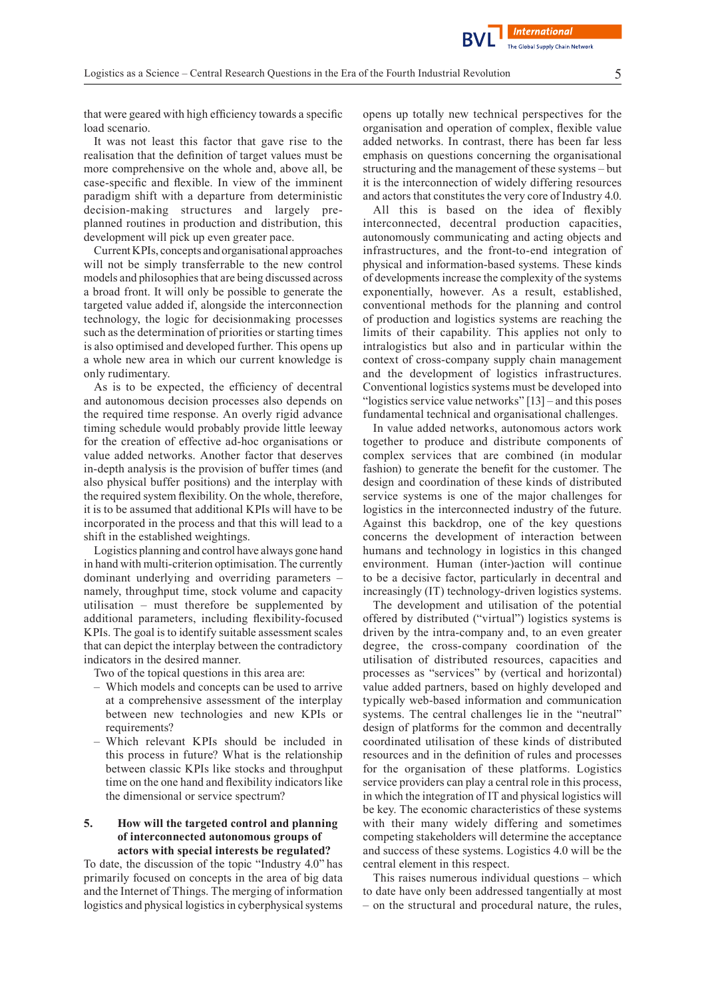that were geared with high efficiency towards a specific load scenario.

It was not least this factor that gave rise to the realisation that the definition of target values must be more comprehensive on the whole and, above all, be case-specific and flexible. In view of the imminent paradigm shift with a departure from deterministic decision-making structures and largely preplanned routines in production and distribution, this development will pick up even greater pace.

CurrentKPIs, concepts and organisational approaches will not be simply transferrable to the new control models and philosophies that are being discussed across a broad front. It will only be possible to generate the targeted value added if, alongside the interconnection technology, the logic for decisionmaking processes such as the determination of priorities or starting times is also optimised and developed further. This opens up a whole new area in which our current knowledge is only rudimentary.

As is to be expected, the efficiency of decentral and autonomous decision processes also depends on the required time response. An overly rigid advance timing schedule would probably provide little leeway for the creation of effective ad-hoc organisations or value added networks. Another factor that deserves in-depth analysis is the provision of buffer times (and also physical buffer positions) and the interplay with the required system flexibility. On the whole, therefore, it is to be assumed that additional KPIs will have to be incorporated in the process and that this will lead to a shift in the established weightings.

Logistics planning and control have always gone hand in hand with multi-criterion optimisation. The currently dominant underlying and overriding parameters – namely, throughput time, stock volume and capacity utilisation – must therefore be supplemented by additional parameters, including flexibility-focused KPIs. The goal is to identify suitable assessment scales that can depict the interplay between the contradictory indicators in the desired manner.

Two of the topical questions in this area are:

- Which models and concepts can be used to arrive at a comprehensive assessment of the interplay between new technologies and new KPIs or requirements?
- Which relevant KPIs should be included in this process in future? What is the relationship between classic KPIs like stocks and throughput time on the one hand and flexibility indicators like the dimensional or service spectrum?

#### **5. How will the targeted control and planning of interconnected autonomous groups of actors with special interests be regulated?**

To date, the discussion of the topic "Industry 4.0" has primarily focused on concepts in the area of big data and the Internet of Things. The merging of information logistics and physical logistics in cyberphysical systems opens up totally new technical perspectives for the organisation and operation of complex, flexible value added networks. In contrast, there has been far less emphasis on questions concerning the organisational structuring and the management of these systems – but it is the interconnection of widely differing resources and actors that constitutes the very core of Industry 4.0.

**International The Global Supply Chain Network** 

All this is based on the idea of flexibly interconnected, decentral production capacities, autonomously communicating and acting objects and infrastructures, and the front-to-end integration of physical and information-based systems. These kinds of developments increase the complexity of the systems exponentially, however. As a result, established, conventional methods for the planning and control of production and logistics systems are reaching the limits of their capability. This applies not only to intralogistics but also and in particular within the context of cross-company supply chain management and the development of logistics infrastructures. Conventional logistics systems must be developed into "logistics service value networks" [13] – and this poses fundamental technical and organisational challenges.

In value added networks, autonomous actors work together to produce and distribute components of complex services that are combined (in modular fashion) to generate the benefit for the customer. The design and coordination of these kinds of distributed service systems is one of the major challenges for logistics in the interconnected industry of the future. Against this backdrop, one of the key questions concerns the development of interaction between humans and technology in logistics in this changed environment. Human (inter-)action will continue to be a decisive factor, particularly in decentral and increasingly (IT) technology-driven logistics systems.

The development and utilisation of the potential offered by distributed ("virtual") logistics systems is driven by the intra-company and, to an even greater degree, the cross-company coordination of the utilisation of distributed resources, capacities and processes as "services" by (vertical and horizontal) value added partners, based on highly developed and typically web-based information and communication systems. The central challenges lie in the "neutral" design of platforms for the common and decentrally coordinated utilisation of these kinds of distributed resources and in the definition of rules and processes for the organisation of these platforms. Logistics service providers can play a central role in this process, in which the integration of IT and physical logistics will be key. The economic characteristics of these systems with their many widely differing and sometimes competing stakeholders will determine the acceptance and success of these systems. Logistics 4.0 will be the central element in this respect.

This raises numerous individual questions – which to date have only been addressed tangentially at most – on the structural and procedural nature, the rules,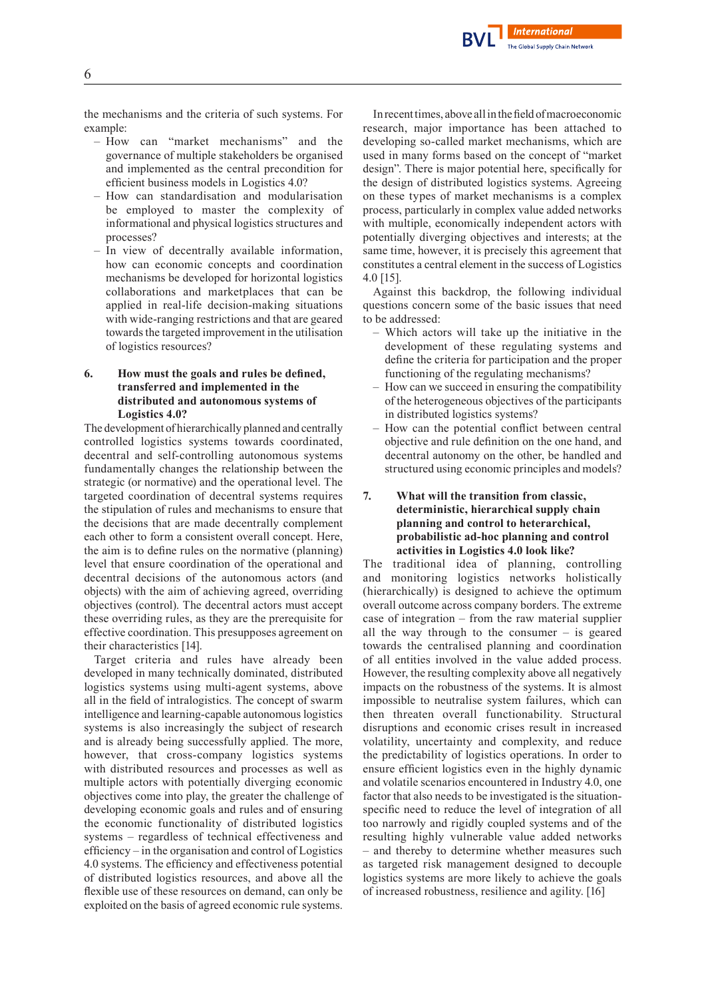the mechanisms and the criteria of such systems. For example:

- How can "market mechanisms" and the governance of multiple stakeholders be organised and implemented as the central precondition for efficient business models in Logistics 4.0?
- How can standardisation and modularisation be employed to master the complexity of informational and physical logistics structures and processes?
- In view of decentrally available information, how can economic concepts and coordination mechanisms be developed for horizontal logistics collaborations and marketplaces that can be applied in real-life decision-making situations with wide-ranging restrictions and that are geared towards the targeted improvement in the utilisation of logistics resources?

## **6. How must the goals and rules be defined, transferred and implemented in the distributed and autonomous systems of Logistics 4.0?**

The development of hierarchically planned and centrally controlled logistics systems towards coordinated, decentral and self-controlling autonomous systems fundamentally changes the relationship between the strategic (or normative) and the operational level. The targeted coordination of decentral systems requires the stipulation of rules and mechanisms to ensure that the decisions that are made decentrally complement each other to form a consistent overall concept. Here, the aim is to define rules on the normative (planning) level that ensure coordination of the operational and decentral decisions of the autonomous actors (and objects) with the aim of achieving agreed, overriding objectives (control). The decentral actors must accept these overriding rules, as they are the prerequisite for effective coordination. This presupposes agreement on their characteristics [14].

Target criteria and rules have already been developed in many technically dominated, distributed logistics systems using multi-agent systems, above all in the field of intralogistics. The concept of swarm intelligence and learning-capable autonomous logistics systems is also increasingly the subject of research and is already being successfully applied. The more, however, that cross-company logistics systems with distributed resources and processes as well as multiple actors with potentially diverging economic objectives come into play, the greater the challenge of developing economic goals and rules and of ensuring the economic functionality of distributed logistics systems – regardless of technical effectiveness and efficiency – in the organisation and control of Logistics 4.0 systems. The efficiency and effectiveness potential of distributed logistics resources, and above all the flexible use of these resources on demand, can only be exploited on the basis of agreed economic rule systems.

In recent times, above all in the field of macroeconomic research, major importance has been attached to developing so-called market mechanisms, which are used in many forms based on the concept of "market design". There is major potential here, specifically for the design of distributed logistics systems. Agreeing on these types of market mechanisms is a complex process, particularly in complex value added networks with multiple, economically independent actors with potentially diverging objectives and interests; at the same time, however, it is precisely this agreement that constitutes a central element in the success of Logistics 4.0 [15].

Against this backdrop, the following individual questions concern some of the basic issues that need to be addressed:

- Which actors will take up the initiative in the development of these regulating systems and define the criteria for participation and the proper functioning of the regulating mechanisms?
- How can we succeed in ensuring the compatibility of the heterogeneous objectives of the participants in distributed logistics systems?
- How can the potential conflict between central objective and rule definition on the one hand, and decentral autonomy on the other, be handled and structured using economic principles and models?

## **7. What will the transition from classic, deterministic, hierarchical supply chain planning and control to heterarchical, probabilistic ad-hoc planning and control activities in Logistics 4.0 look like?**

The traditional idea of planning, controlling and monitoring logistics networks holistically (hierarchically) is designed to achieve the optimum overall outcome across company borders. The extreme case of integration – from the raw material supplier all the way through to the consumer – is geared towards the centralised planning and coordination of all entities involved in the value added process. However, the resulting complexity above all negatively impacts on the robustness of the systems. It is almost impossible to neutralise system failures, which can then threaten overall functionability. Structural disruptions and economic crises result in increased volatility, uncertainty and complexity, and reduce the predictability of logistics operations. In order to ensure efficient logistics even in the highly dynamic and volatile scenarios encountered in Industry 4.0, one factor that also needs to be investigated is the situationspecific need to reduce the level of integration of all too narrowly and rigidly coupled systems and of the resulting highly vulnerable value added networks – and thereby to determine whether measures such as targeted risk management designed to decouple logistics systems are more likely to achieve the goals of increased robustness, resilience and agility. [16]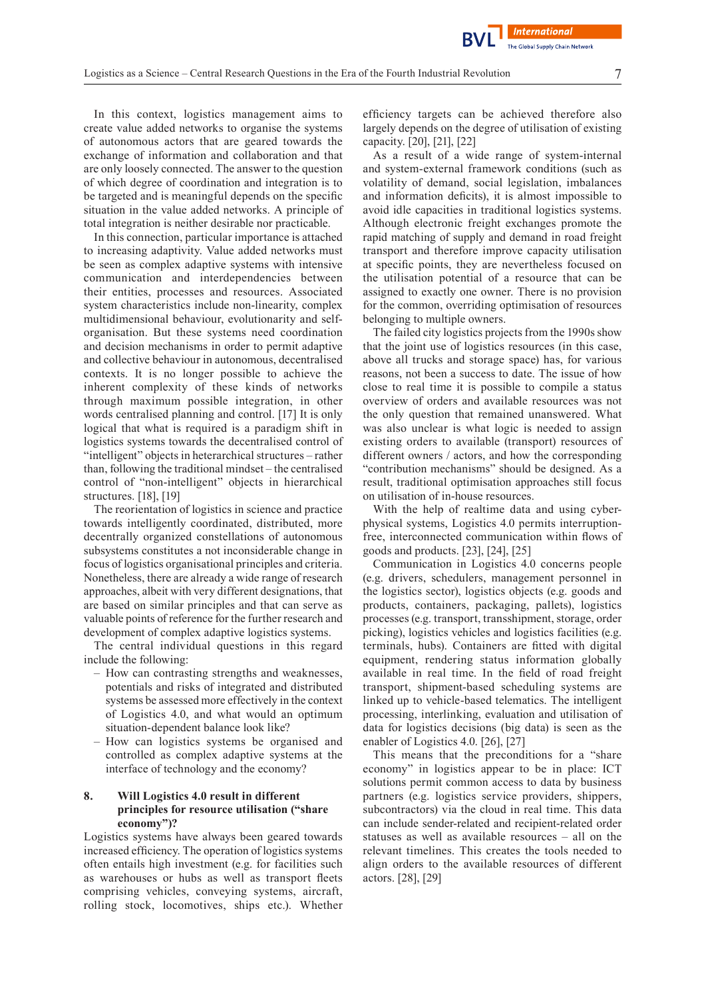In this context, logistics management aims to create value added networks to organise the systems of autonomous actors that are geared towards the exchange of information and collaboration and that are only loosely connected. The answer to the question of which degree of coordination and integration is to be targeted and is meaningful depends on the specific situation in the value added networks. A principle of total integration is neither desirable nor practicable.

In this connection, particular importance is attached to increasing adaptivity. Value added networks must be seen as complex adaptive systems with intensive communication and interdependencies between their entities, processes and resources. Associated system characteristics include non-linearity, complex multidimensional behaviour, evolutionarity and selforganisation. But these systems need coordination and decision mechanisms in order to permit adaptive and collective behaviour in autonomous, decentralised contexts. It is no longer possible to achieve the inherent complexity of these kinds of networks through maximum possible integration, in other words centralised planning and control. [17] It is only logical that what is required is a paradigm shift in logistics systems towards the decentralised control of "intelligent" objects in heterarchical structures – rather than, following the traditional mindset – the centralised control of "non-intelligent" objects in hierarchical structures. [18], [19]

The reorientation of logistics in science and practice towards intelligently coordinated, distributed, more decentrally organized constellations of autonomous subsystems constitutes a not inconsiderable change in focus of logistics organisational principles and criteria. Nonetheless, there are already a wide range of research approaches, albeit with very different designations, that are based on similar principles and that can serve as valuable points of reference for the further research and development of complex adaptive logistics systems.

The central individual questions in this regard include the following:

- How can contrasting strengths and weaknesses, potentials and risks of integrated and distributed systems be assessed more effectively in the context of Logistics 4.0, and what would an optimum situation-dependent balance look like?
- How can logistics systems be organised and controlled as complex adaptive systems at the interface of technology and the economy?

# **8. Will Logistics 4.0 result in different principles for resource utilisation ("share economy")?**

Logistics systems have always been geared towards increased efficiency. The operation of logistics systems often entails high investment (e.g. for facilities such as warehouses or hubs as well as transport fleets comprising vehicles, conveying systems, aircraft, rolling stock, locomotives, ships etc.). Whether efficiency targets can be achieved therefore also largely depends on the degree of utilisation of existing capacity. [20], [21], [22]

**International The Global Supply Chain Network** 

As a result of a wide range of system-internal and system-external framework conditions (such as volatility of demand, social legislation, imbalances and information deficits), it is almost impossible to avoid idle capacities in traditional logistics systems. Although electronic freight exchanges promote the rapid matching of supply and demand in road freight transport and therefore improve capacity utilisation at specific points, they are nevertheless focused on the utilisation potential of a resource that can be assigned to exactly one owner. There is no provision for the common, overriding optimisation of resources belonging to multiple owners.

The failed city logistics projects from the 1990s show that the joint use of logistics resources (in this case, above all trucks and storage space) has, for various reasons, not been a success to date. The issue of how close to real time it is possible to compile a status overview of orders and available resources was not the only question that remained unanswered. What was also unclear is what logic is needed to assign existing orders to available (transport) resources of different owners / actors, and how the corresponding "contribution mechanisms" should be designed. As a result, traditional optimisation approaches still focus on utilisation of in-house resources.

With the help of realtime data and using cyberphysical systems, Logistics 4.0 permits interruptionfree, interconnected communication within flows of goods and products. [23], [24], [25]

Communication in Logistics 4.0 concerns people (e.g. drivers, schedulers, management personnel in the logistics sector), logistics objects (e.g. goods and products, containers, packaging, pallets), logistics processes (e.g. transport, transshipment, storage, order picking), logistics vehicles and logistics facilities (e.g. terminals, hubs). Containers are fitted with digital equipment, rendering status information globally available in real time. In the field of road freight transport, shipment-based scheduling systems are linked up to vehicle-based telematics. The intelligent processing, interlinking, evaluation and utilisation of data for logistics decisions (big data) is seen as the enabler of Logistics 4.0. [26], [27]

This means that the preconditions for a "share economy" in logistics appear to be in place: ICT solutions permit common access to data by business partners (e.g. logistics service providers, shippers, subcontractors) via the cloud in real time. This data can include sender-related and recipient-related order statuses as well as available resources – all on the relevant timelines. This creates the tools needed to align orders to the available resources of different actors. [28], [29]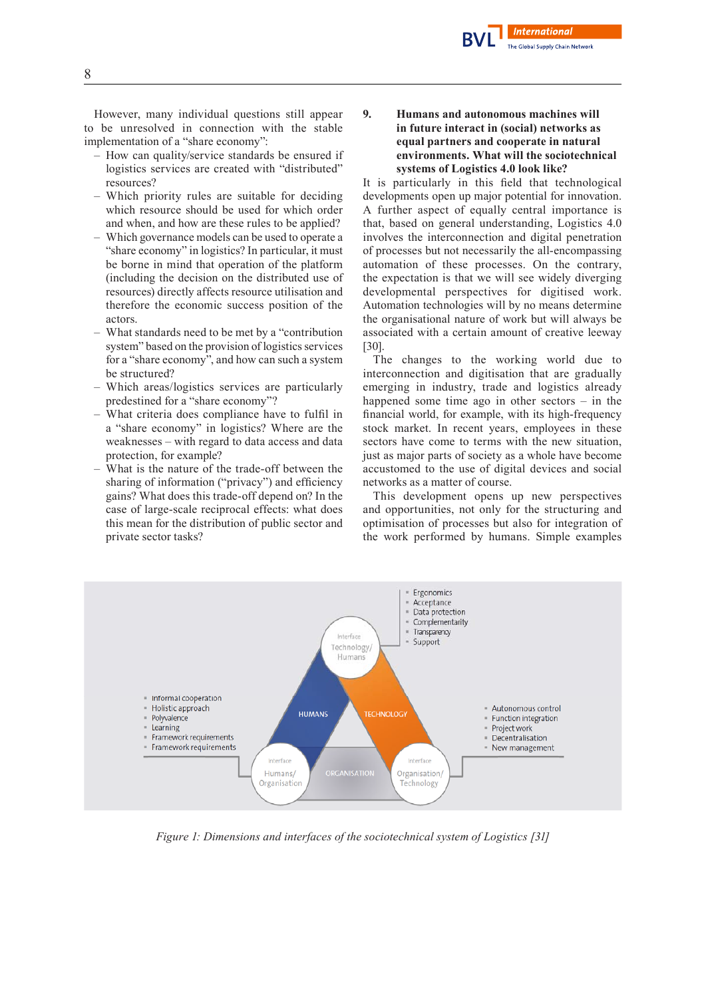

However, many individual questions still appear to be unresolved in connection with the stable implementation of a "share economy":

- How can quality/service standards be ensured if logistics services are created with "distributed" resources?
- Which priority rules are suitable for deciding which resource should be used for which order and when, and how are these rules to be applied?
- Which governance models can be used to operate a "share economy" in logistics? In particular, it must be borne in mind that operation of the platform (including the decision on the distributed use of resources) directly affects resource utilisation and therefore the economic success position of the actors.
- What standards need to be met by a "contribution system" based on the provision of logistics services for a "share economy", and how can such a system be structured?
- Which areas/logistics services are particularly predestined for a "share economy"?
- What criteria does compliance have to fulfil in a "share economy" in logistics? Where are the weaknesses – with regard to data access and data protection, for example?
- What is the nature of the trade-off between the sharing of information ("privacy") and efficiency gains? What does this trade-off depend on? In the case of large-scale reciprocal effects: what does this mean for the distribution of public sector and private sector tasks?

# **9. Humans and autonomous machines will in future interact in (social) networks as equal partners and cooperate in natural environments. What will the sociotechnical systems of Logistics 4.0 look like?**

It is particularly in this field that technological developments open up major potential for innovation. A further aspect of equally central importance is that, based on general understanding, Logistics 4.0 involves the interconnection and digital penetration of processes but not necessarily the all-encompassing automation of these processes. On the contrary, the expectation is that we will see widely diverging developmental perspectives for digitised work. Automation technologies will by no means determine the organisational nature of work but will always be associated with a certain amount of creative leeway [30].

The changes to the working world due to interconnection and digitisation that are gradually emerging in industry, trade and logistics already happened some time ago in other sectors – in the financial world, for example, with its high-frequency stock market. In recent years, employees in these sectors have come to terms with the new situation, just as major parts of society as a whole have become accustomed to the use of digital devices and social networks as a matter of course.

This development opens up new perspectives and opportunities, not only for the structuring and optimisation of processes but also for integration of the work performed by humans. Simple examples



*Figure 1: Dimensions and interfaces of the sociotechnical system of Logistics [31]*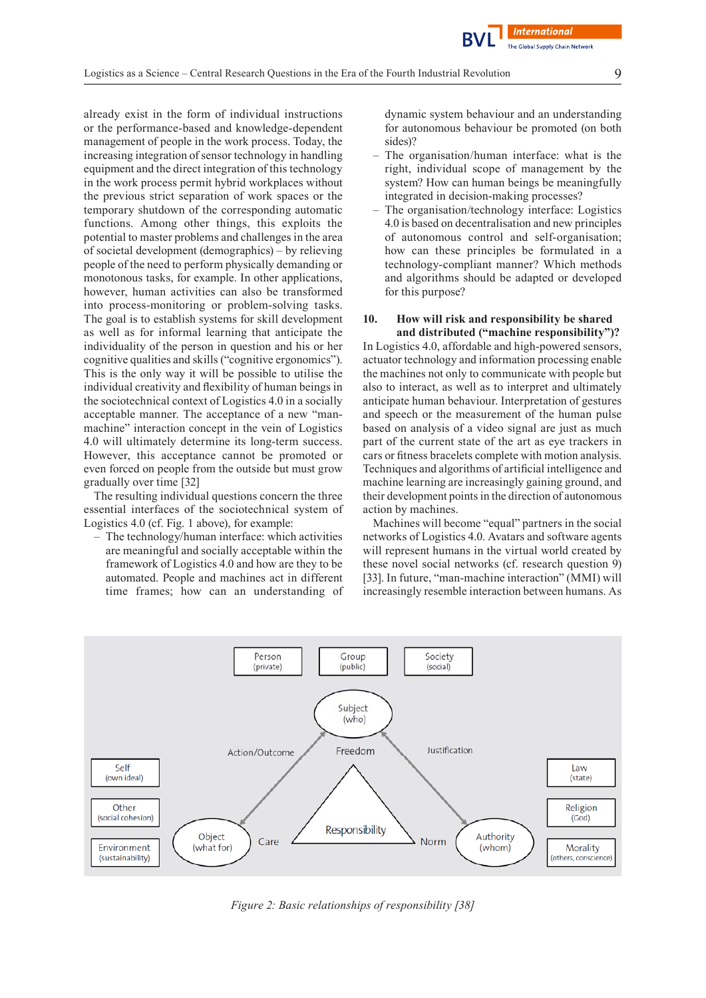already exist in the form of individual instructions or the performance-based and knowledge-dependent management of people in the work process. Today, the increasing integration of sensor technology in handling equipment and the direct integration of this technology in the work process permit hybrid workplaces without the previous strict separation of work spaces or the temporary shutdown of the corresponding automatic functions. Among other things, this exploits the potential to master problems and challenges in the area of societal development (demographics) – by relieving people of the need to perform physically demanding or monotonous tasks, for example. In other applications, however, human activities can also be transformed into process-monitoring or problem-solving tasks. The goal is to establish systems for skill development as well as for informal learning that anticipate the individuality of the person in question and his or her cognitive qualities and skills ("cognitive ergonomics"). This is the only way it will be possible to utilise the individual creativity and flexibility of human beings in the sociotechnical context of Logistics 4.0 in a socially acceptable manner. The acceptance of a new "manmachine" interaction concept in the vein of Logistics 4.0 will ultimately determine its long-term success. However, this acceptance cannot be promoted or even forced on people from the outside but must grow gradually over time [32]

The resulting individual questions concern the three essential interfaces of the sociotechnical system of Logistics 4.0 (cf. Fig. 1 above), for example:

– The technology/human interface: which activities are meaningful and socially acceptable within the framework of Logistics 4.0 and how are they to be automated. People and machines act in different time frames; how can an understanding of dynamic system behaviour and an understanding for autonomous behaviour be promoted (on both sides)?

- The organisation/human interface: what is the right, individual scope of management by the system? How can human beings be meaningfully integrated in decision-making processes?
- The organisation/technology interface: Logistics 4.0 is based on decentralisation and new principles of autonomous control and self-organisation; how can these principles be formulated in a technology-compliant manner? Which methods and algorithms should be adapted or developed for this purpose?

#### **10. How will risk and responsibility be shared and distributed ("machine responsibility")?**

In Logistics 4.0, affordable and high-powered sensors, actuator technology and information processing enable the machines not only to communicate with people but also to interact, as well as to interpret and ultimately anticipate human behaviour. Interpretation of gestures and speech or the measurement of the human pulse based on analysis of a video signal are just as much part of the current state of the art as eye trackers in cars or fitness bracelets complete with motion analysis. Techniques and algorithms of artificial intelligence and machine learning are increasingly gaining ground, and their development points in the direction of autonomous action by machines.

Machines will become "equal" partners in the social networks of Logistics 4.0. Avatars and software agents will represent humans in the virtual world created by these novel social networks (cf. research question 9) [33]. In future, "man-machine interaction" (MMI) will increasingly resemble interaction between humans. As



*Figure 2: Basic relationships of responsibility [38]*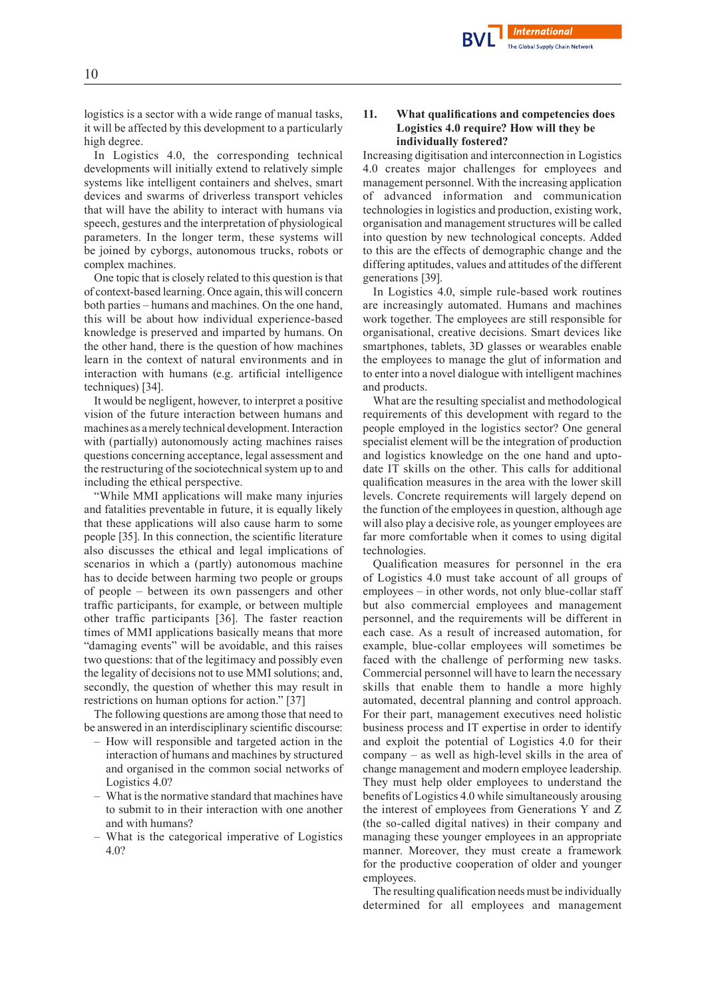

logistics is a sector with a wide range of manual tasks, it will be affected by this development to a particularly high degree.

In Logistics 4.0, the corresponding technical developments will initially extend to relatively simple systems like intelligent containers and shelves, smart devices and swarms of driverless transport vehicles that will have the ability to interact with humans via speech, gestures and the interpretation of physiological parameters. In the longer term, these systems will be joined by cyborgs, autonomous trucks, robots or complex machines.

One topic that is closely related to this question is that of context-based learning. Once again, this will concern both parties – humans and machines. On the one hand, this will be about how individual experience-based knowledge is preserved and imparted by humans. On the other hand, there is the question of how machines learn in the context of natural environments and in interaction with humans (e.g. artificial intelligence techniques) [34].

It would be negligent, however, to interpret a positive vision of the future interaction between humans and machines as amerely technical development.Interaction with (partially) autonomously acting machines raises questions concerning acceptance, legal assessment and the restructuring of the sociotechnical system up to and including the ethical perspective.

"While MMI applications will make many injuries and fatalities preventable in future, it is equally likely that these applications will also cause harm to some people [35]. In this connection, the scientific literature also discusses the ethical and legal implications of scenarios in which a (partly) autonomous machine has to decide between harming two people or groups of people – between its own passengers and other traffic participants, for example, or between multiple other traffic participants [36]. The faster reaction times of MMI applications basically means that more "damaging events" will be avoidable, and this raises two questions: that of the legitimacy and possibly even the legality of decisions not to use MMI solutions; and, secondly, the question of whether this may result in restrictions on human options for action." [37]

The following questions are among those that need to be answered in an interdisciplinary scientific discourse:

- How will responsible and targeted action in the interaction of humans and machines by structured and organised in the common social networks of Logistics 4.0?
- What isthe normative standard that machines have to submit to in their interaction with one another and with humans?
- What is the categorical imperative of Logistics 4.0?

## **11. What qualifications and competencies does Logistics 4.0 require? How will they be individually fostered?**

Increasing digitisation and interconnection in Logistics 4.0 creates major challenges for employees and management personnel. With the increasing application of advanced information and communication technologies in logistics and production, existing work, organisation and management structures will be called into question by new technological concepts. Added to this are the effects of demographic change and the differing aptitudes, values and attitudes of the different generations [39].

In Logistics 4.0, simple rule-based work routines are increasingly automated. Humans and machines work together. The employees are still responsible for organisational, creative decisions. Smart devices like smartphones, tablets, 3D glasses or wearables enable the employees to manage the glut of information and to enter into a novel dialogue with intelligent machines and products.

What are the resulting specialist and methodological requirements of this development with regard to the people employed in the logistics sector? One general specialist element will be the integration of production and logistics knowledge on the one hand and uptodate IT skills on the other. This calls for additional qualification measures in the area with the lower skill levels. Concrete requirements will largely depend on the function of the employees in question, although age will also play a decisive role, as younger employees are far more comfortable when it comes to using digital technologies.

Qualification measures for personnel in the era of Logistics 4.0 must take account of all groups of employees – in other words, not only blue-collar staff but also commercial employees and management personnel, and the requirements will be different in each case. As a result of increased automation, for example, blue-collar employees will sometimes be faced with the challenge of performing new tasks. Commercial personnel will have to learn the necessary skills that enable them to handle a more highly automated, decentral planning and control approach. For their part, management executives need holistic business process and IT expertise in order to identify and exploit the potential of Logistics 4.0 for their company – as well as high-level skills in the area of change management and modern employee leadership. They must help older employees to understand the benefits of Logistics 4.0 while simultaneously arousing the interest of employees from Generations Y and Z (the so-called digital natives) in their company and managing these younger employees in an appropriate manner. Moreover, they must create a framework for the productive cooperation of older and younger employees.

The resulting qualification needs must be individually determined for all employees and management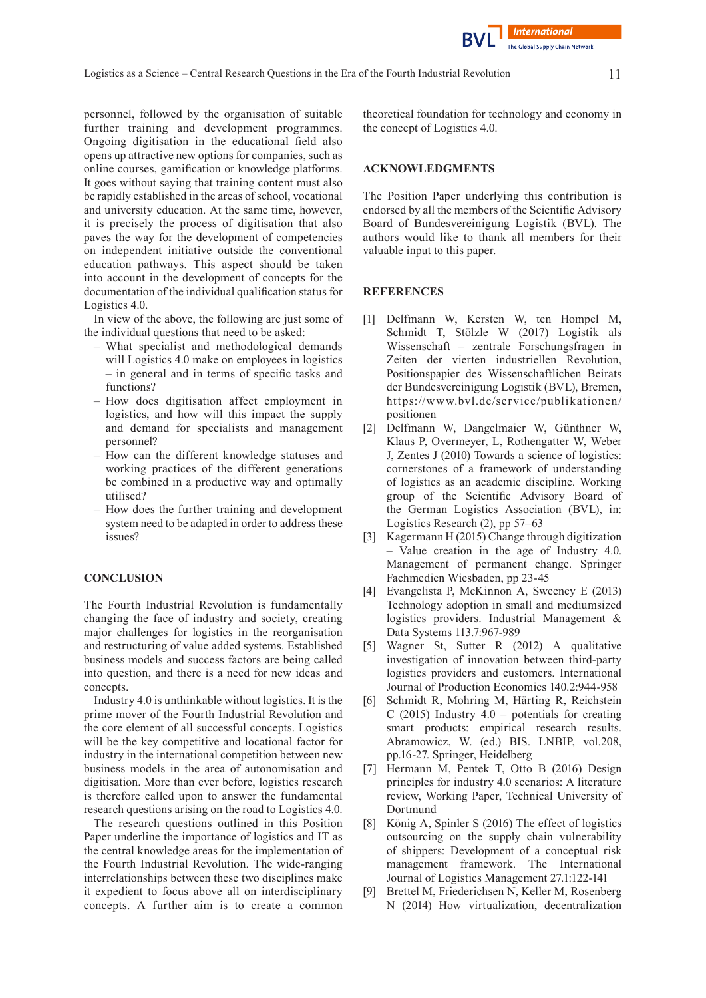personnel, followed by the organisation of suitable further training and development programmes. Ongoing digitisation in the educational field also opens up attractive new options for companies, such as online courses, gamification or knowledge platforms. It goes without saying that training content must also be rapidly established in the areas of school, vocational and university education. At the same time, however, it is precisely the process of digitisation that also paves the way for the development of competencies on independent initiative outside the conventional education pathways. This aspect should be taken into account in the development of concepts for the documentation of the individual qualification status for Logistics 4.0.

In view of the above, the following are just some of the individual questions that need to be asked:

- What specialist and methodological demands will Logistics 4.0 make on employees in logistics – in general and in terms of specific tasks and functions?
- How does digitisation affect employment in logistics, and how will this impact the supply and demand for specialists and management personnel?
- How can the different knowledge statuses and working practices of the different generations be combined in a productive way and optimally utilised?
- How does the further training and development system need to be adapted in order to address these issues?

#### **CONCLUSION**

The Fourth Industrial Revolution is fundamentally changing the face of industry and society, creating major challenges for logistics in the reorganisation and restructuring of value added systems. Established business models and success factors are being called into question, and there is a need for new ideas and concepts.

Industry 4.0 is unthinkable without logistics. It is the prime mover of the Fourth Industrial Revolution and the core element of all successful concepts. Logistics will be the key competitive and locational factor for industry in the international competition between new business models in the area of autonomisation and digitisation. More than ever before, logistics research is therefore called upon to answer the fundamental research questions arising on the road to Logistics 4.0.

The research questions outlined in this Position Paper underline the importance of logistics and IT as the central knowledge areas for the implementation of the Fourth Industrial Revolution. The wide-ranging interrelationships between these two disciplines make it expedient to focus above all on interdisciplinary concepts. A further aim is to create a common

theoretical foundation for technology and economy in the concept of Logistics 4.0.

#### **ACKNOWLEDGMENTS**

The Position Paper underlying this contribution is endorsed by all the members of the Scientific Advisory Board of Bundesvereinigung Logistik (BVL). The authors would like to thank all members for their valuable input to this paper.

#### **REFERENCES**

- [1] Delfmann W, Kersten W, ten Hompel M, Schmidt T, Stölzle W (2017) Logistik als Wissenschaft – zentrale Forschungsfragen in Zeiten der vierten industriellen Revolution, Positionspapier des Wissenschaftlichen Beirats der Bundesvereinigung Logistik (BVL), Bremen, https://www.bvl.de/service/publikationen/ positionen
- [2] Delfmann W, Dangelmaier W, Günthner W, Klaus P, Overmeyer, L, Rothengatter W, Weber J, Zentes J (2010) Towards a science of logistics: cornerstones of a framework of understanding of logistics as an academic discipline. Working group of the Scientific Advisory Board of the German Logistics Association (BVL), in: Logistics Research (2), pp 57–63
- [3] Kagermann H (2015) Change through digitization – Value creation in the age of Industry 4.0. Management of permanent change. Springer Fachmedien Wiesbaden, pp 23-45
- [4] Evangelista P, McKinnon A, Sweeney E (2013) Technology adoption in small and mediumsized logistics providers. Industrial Management & Data Systems 113.7:967-989
- [5] Wagner St, Sutter R (2012) A qualitative investigation of innovation between third-party logistics providers and customers. International Journal of Production Economics 140.2:944-958
- [6] Schmidt R, Mohring M, Härting R, Reichstein C (2015) Industry  $4.0$  – potentials for creating smart products: empirical research results. Abramowicz, W. (ed.) BIS. LNBIP, vol.208, pp.16-27. Springer, Heidelberg
- [7] Hermann M, Pentek T, Otto B (2016) Design principles for industry 4.0 scenarios: A literature review, Working Paper, Technical University of Dortmund
- [8] König A, Spinler S (2016) The effect of logistics outsourcing on the supply chain vulnerability of shippers: Development of a conceptual risk management framework. The International Journal of Logistics Management 27.1:122-141
- [9] Brettel M, Friederichsen N, Keller M, Rosenberg N (2014) How virtualization, decentralization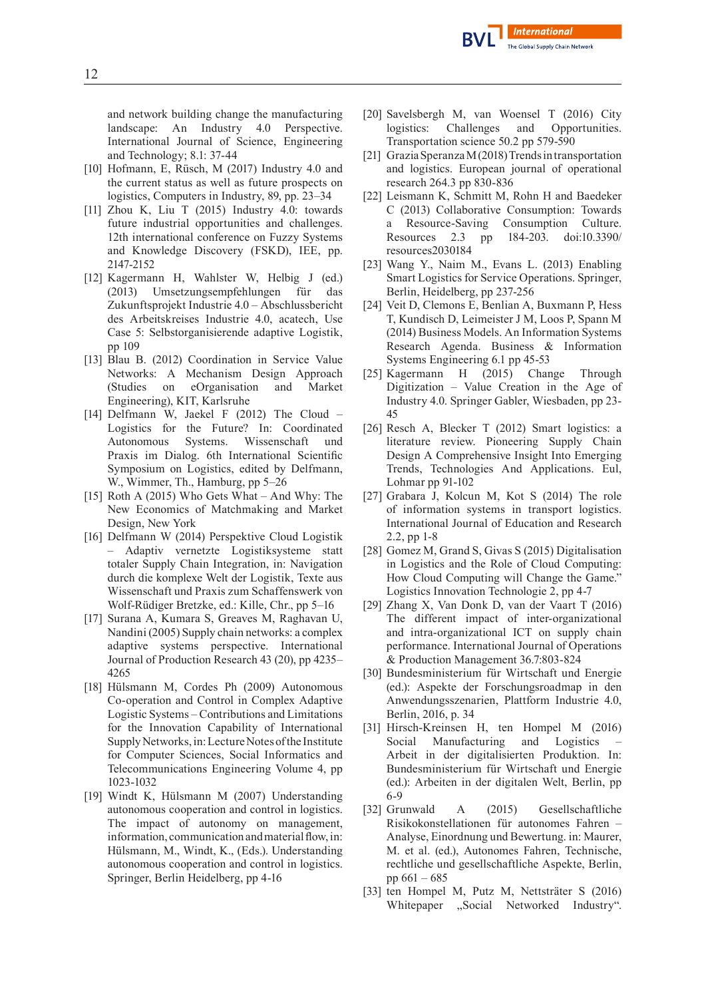

and network building change the manufacturing landscape: An Industry 4.0 Perspective. International Journal of Science, Engineering and Technology; 8.1: 37-44

- [10] Hofmann, E, Rüsch, M (2017) Industry 4.0 and the current status as well as future prospects on logistics, Computers in Industry, 89, pp. 23–34
- [11] Zhou K, Liu T (2015) Industry 4.0: towards future industrial opportunities and challenges. 12th international conference on Fuzzy Systems and Knowledge Discovery (FSKD), IEE, pp. 2147-2152
- [12] Kagermann H, Wahlster W, Helbig J (ed.) (2013) Umsetzungsempfehlungen für das Zukunftsprojekt Industrie 4.0 – Abschlussbericht des Arbeitskreises Industrie 4.0, acatech, Use Case 5: Selbstorganisierende adaptive Logistik, pp 109
- [13] Blau B. (2012) Coordination in Service Value Networks: A Mechanism Design Approach (Studies on eOrganisation and Market Engineering), KIT, Karlsruhe
- [14] Delfmann W, Jaekel F (2012) The Cloud Logistics for the Future? In: Coordinated Autonomous Systems. Wissenschaft und Praxis im Dialog. 6th International Scientific Symposium on Logistics, edited by Delfmann, W., Wimmer, Th., Hamburg, pp 5–26
- [15] Roth A (2015) Who Gets What And Why: The New Economics of Matchmaking and Market Design, New York
- [16] Delfmann W (2014) Perspektive Cloud Logistik – Adaptiv vernetzte Logistiksysteme statt totaler Supply Chain Integration, in: Navigation durch die komplexe Welt der Logistik, Texte aus Wissenschaft und Praxis zum Schaffenswerk von Wolf-Rüdiger Bretzke, ed.: Kille, Chr., pp 5–16
- [17] Surana A, Kumara S, Greaves M, Raghavan U, Nandini (2005) Supply chain networks: a complex adaptive systems perspective. International Journal of Production Research 43 (20), pp 4235– 4265
- [18] Hülsmann M, Cordes Ph (2009) Autonomous Co-operation and Control in Complex Adaptive Logistic Systems – Contributions and Limitations for the Innovation Capability of International Supply Networks, in: Lecture Notes of the Institute for Computer Sciences, Social Informatics and Telecommunications Engineering Volume 4, pp 1023-1032
- [19] Windt K, Hülsmann M (2007) Understanding autonomous cooperation and control in logistics. The impact of autonomy on management, information, communication and material flow, in: Hülsmann, M., Windt, K., (Eds.). Understanding autonomous cooperation and control in logistics. Springer, Berlin Heidelberg, pp 4-16
- [20] Savelsbergh M, van Woensel T (2016) City logistics: Challenges and Opportunities. Transportation science 50.2 pp 579-590
- [21] Grazia Speranza M(2018) Trends in transportation and logistics. European journal of operational research 264.3 pp 830-836
- [22] Leismann K, Schmitt M, Rohn H and Baedeker C (2013) Collaborative Consumption: Towards a Resource-Saving Consumption Culture. Resources 2.3 pp 184-203. doi:10.3390/ resources2030184
- [23] Wang Y., Naim M., Evans L. (2013) Enabling Smart Logistics for Service Operations. Springer, Berlin, Heidelberg, pp 237-256
- [24] Veit D, Clemons E, Benlian A, Buxmann P, Hess T, Kundisch D, Leimeister J M, Loos P, Spann M (2014) Business Models. An Information Systems Research Agenda. Business & Information Systems Engineering 6.1 pp 45-53
- [25] Kagermann H (2015) Change Through Digitization – Value Creation in the Age of Industry 4.0. Springer Gabler, Wiesbaden, pp 23- 45
- [26] Resch A, Blecker T (2012) Smart logistics: a literature review. Pioneering Supply Chain Design A Comprehensive Insight Into Emerging Trends, Technologies And Applications. Eul, Lohmar pp 91-102
- [27] Grabara J, Kolcun M, Kot S (2014) The role of information systems in transport logistics. International Journal of Education and Research 2.2, pp 1-8
- [28] Gomez M, Grand S, Givas S (2015) Digitalisation in Logistics and the Role of Cloud Computing: How Cloud Computing will Change the Game." Logistics Innovation Technologie 2, pp 4-7
- [29] Zhang X, Van Donk D, van der Vaart T (2016) The different impact of inter-organizational and intra-organizational ICT on supply chain performance. International Journal of Operations & Production Management 36.7:803-824
- [30] Bundesministerium für Wirtschaft und Energie (ed.): Aspekte der Forschungsroadmap in den Anwendungsszenarien, Plattform Industrie 4.0, Berlin, 2016, p. 34
- [31] Hirsch-Kreinsen H, ten Hompel M (2016) Social Manufacturing and Logistics Arbeit in der digitalisierten Produktion. In: Bundesministerium für Wirtschaft und Energie (ed.): Arbeiten in der digitalen Welt, Berlin, pp 6-9
- [32] Grunwald A (2015) Gesellschaftliche Risikokonstellationen für autonomes Fahren – Analyse, Einordnung und Bewertung. in: Maurer, M. et al. (ed.), Autonomes Fahren, Technische, rechtliche und gesellschaftliche Aspekte, Berlin, pp 661 – 685
- [33] ten Hompel M, Putz M, Nettsträter S (2016) Whitepaper "Social Networked Industry".